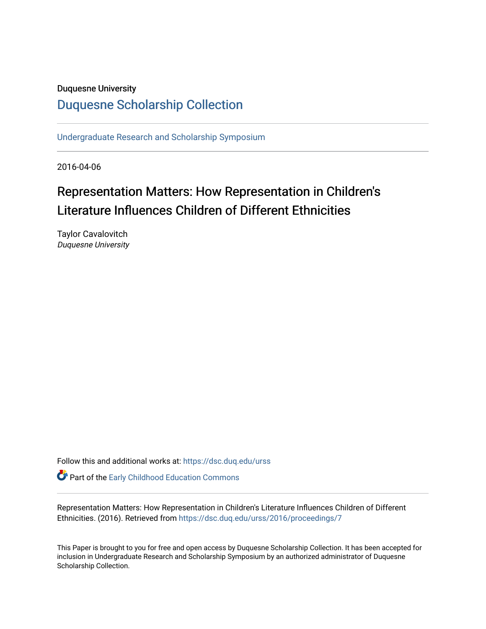### Duquesne University

## [Duquesne Scholarship Collection](https://dsc.duq.edu/)

[Undergraduate Research and Scholarship Symposium](https://dsc.duq.edu/urss)

2016-04-06

# Representation Matters: How Representation in Children's Literature Influences Children of Different Ethnicities

Taylor Cavalovitch Duquesne University

Follow this and additional works at: [https://dsc.duq.edu/urss](https://dsc.duq.edu/urss?utm_source=dsc.duq.edu%2Furss%2F2016%2Fproceedings%2F7&utm_medium=PDF&utm_campaign=PDFCoverPages)

**Part of the Early Childhood Education Commons** 

Representation Matters: How Representation in Children's Literature Influences Children of Different Ethnicities. (2016). Retrieved from [https://dsc.duq.edu/urss/2016/proceedings/7](https://dsc.duq.edu/urss/2016/proceedings/7?utm_source=dsc.duq.edu%2Furss%2F2016%2Fproceedings%2F7&utm_medium=PDF&utm_campaign=PDFCoverPages) 

This Paper is brought to you for free and open access by Duquesne Scholarship Collection. It has been accepted for inclusion in Undergraduate Research and Scholarship Symposium by an authorized administrator of Duquesne Scholarship Collection.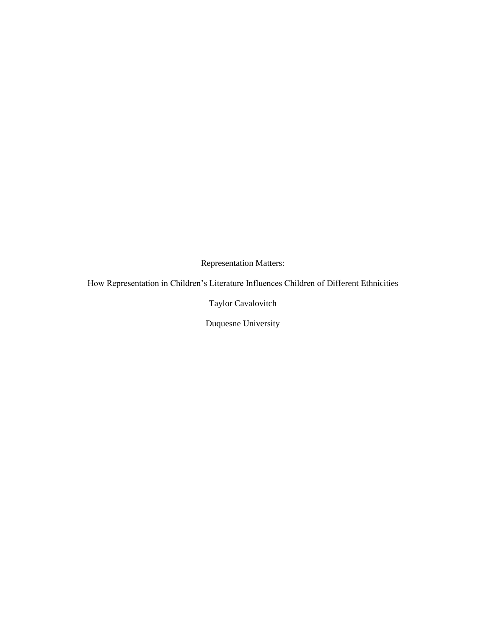Representation Matters:

How Representation in Children's Literature Influences Children of Different Ethnicities

Taylor Cavalovitch

Duquesne University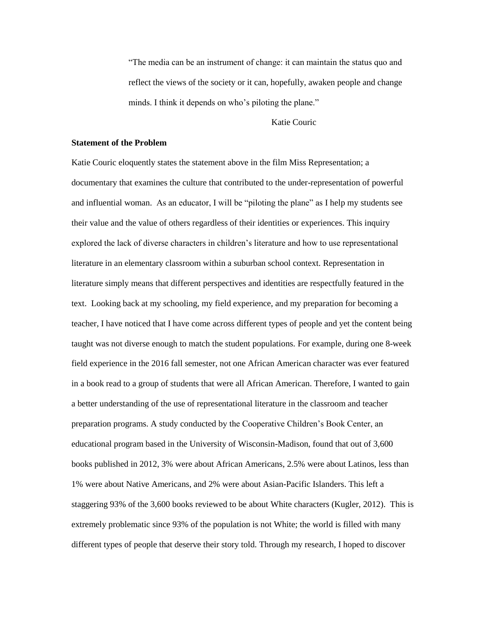"The media can be an instrument of change: it can maintain the status quo and reflect the views of the society or it can, hopefully, awaken people and change minds. I think it depends on who's piloting the plane."

Katie Couric

#### **Statement of the Problem**

Katie Couric eloquently states the statement above in the film Miss Representation; a documentary that examines the culture that contributed to the under-representation of powerful and influential woman. As an educator, I will be "piloting the plane" as I help my students see their value and the value of others regardless of their identities or experiences. This inquiry explored the lack of diverse characters in children's literature and how to use representational literature in an elementary classroom within a suburban school context. Representation in literature simply means that different perspectives and identities are respectfully featured in the text. Looking back at my schooling, my field experience, and my preparation for becoming a teacher, I have noticed that I have come across different types of people and yet the content being taught was not diverse enough to match the student populations. For example, during one 8-week field experience in the 2016 fall semester, not one African American character was ever featured in a book read to a group of students that were all African American. Therefore, I wanted to gain a better understanding of the use of representational literature in the classroom and teacher preparation programs. A study conducted by the Cooperative Children's Book Center, an educational program based in the University of Wisconsin-Madison, found that out of 3,600 books published in 2012, 3% were about African Americans, 2.5% were about Latinos, less than 1% were about Native Americans, and 2% were about Asian-Pacific Islanders. This left a staggering 93% of the 3,600 books reviewed to be about White characters (Kugler, 2012). This is extremely problematic since 93% of the population is not White; the world is filled with many different types of people that deserve their story told. Through my research, I hoped to discover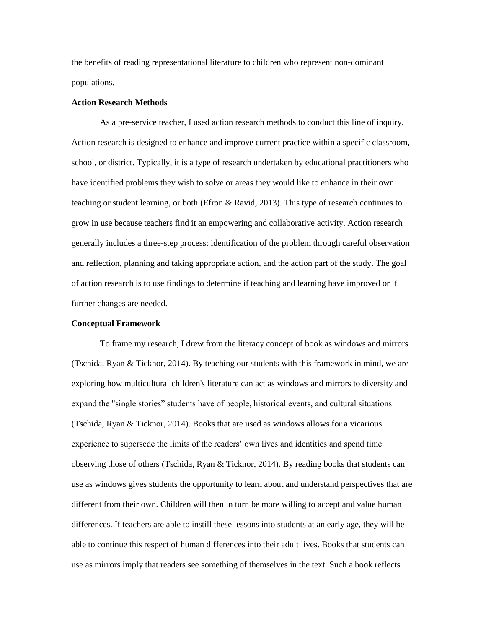the benefits of reading representational literature to children who represent non-dominant populations.

#### **Action Research Methods**

As a pre-service teacher, I used action research methods to conduct this line of inquiry. Action research is designed to enhance and improve current practice within a specific classroom, school, or district. Typically, it is a type of research undertaken by educational practitioners who have identified problems they wish to solve or areas they would like to enhance in their own teaching or student learning, or both (Efron & Ravid, 2013). This type of research continues to grow in use because teachers find it an empowering and collaborative activity. Action research generally includes a three-step process: identification of the problem through careful observation and reflection, planning and taking appropriate action, and the action part of the study. The goal of action research is to use findings to determine if teaching and learning have improved or if further changes are needed.

#### **Conceptual Framework**

To frame my research, I drew from the literacy concept of book as windows and mirrors (Tschida, Ryan & Ticknor, 2014). By teaching our students with this framework in mind, we are exploring how multicultural children's literature can act as windows and mirrors to diversity and expand the "single stories" students have of people, historical events, and cultural situations (Tschida, Ryan & Ticknor, 2014). Books that are used as windows allows for a vicarious experience to supersede the limits of the readers' own lives and identities and spend time observing those of others (Tschida, Ryan & Ticknor, 2014). By reading books that students can use as windows gives students the opportunity to learn about and understand perspectives that are different from their own. Children will then in turn be more willing to accept and value human differences. If teachers are able to instill these lessons into students at an early age, they will be able to continue this respect of human differences into their adult lives. Books that students can use as mirrors imply that readers see something of themselves in the text. Such a book reflects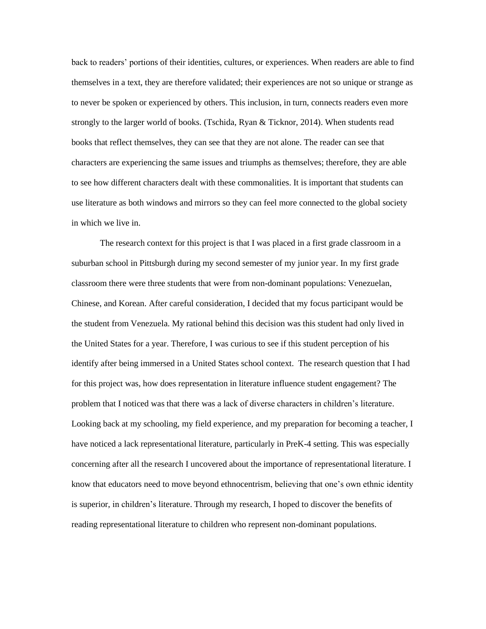back to readers' portions of their identities, cultures, or experiences. When readers are able to find themselves in a text, they are therefore validated; their experiences are not so unique or strange as to never be spoken or experienced by others. This inclusion, in turn, connects readers even more strongly to the larger world of books. (Tschida, Ryan & Ticknor, 2014). When students read books that reflect themselves, they can see that they are not alone. The reader can see that characters are experiencing the same issues and triumphs as themselves; therefore, they are able to see how different characters dealt with these commonalities. It is important that students can use literature as both windows and mirrors so they can feel more connected to the global society in which we live in.

The research context for this project is that I was placed in a first grade classroom in a suburban school in Pittsburgh during my second semester of my junior year. In my first grade classroom there were three students that were from non-dominant populations: Venezuelan, Chinese, and Korean. After careful consideration, I decided that my focus participant would be the student from Venezuela. My rational behind this decision was this student had only lived in the United States for a year. Therefore, I was curious to see if this student perception of his identify after being immersed in a United States school context. The research question that I had for this project was, how does representation in literature influence student engagement? The problem that I noticed was that there was a lack of diverse characters in children's literature. Looking back at my schooling, my field experience, and my preparation for becoming a teacher, I have noticed a lack representational literature, particularly in PreK-4 setting. This was especially concerning after all the research I uncovered about the importance of representational literature. I know that educators need to move beyond ethnocentrism, believing that one's own ethnic identity is superior, in children's literature. Through my research, I hoped to discover the benefits of reading representational literature to children who represent non-dominant populations.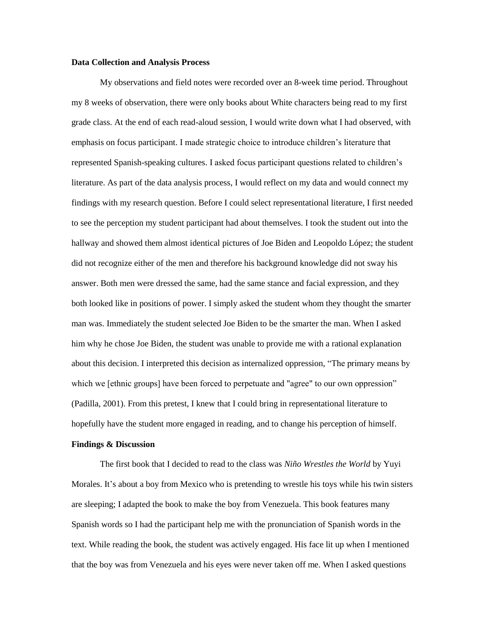#### **Data Collection and Analysis Process**

 My observations and field notes were recorded over an 8-week time period. Throughout my 8 weeks of observation, there were only books about White characters being read to my first grade class. At the end of each read-aloud session, I would write down what I had observed, with emphasis on focus participant. I made strategic choice to introduce children's literature that represented Spanish-speaking cultures. I asked focus participant questions related to children's literature. As part of the data analysis process, I would reflect on my data and would connect my findings with my research question. Before I could select representational literature, I first needed to see the perception my student participant had about themselves. I took the student out into the hallway and showed them almost identical pictures of Joe Biden and Leopoldo López; the student did not recognize either of the men and therefore his background knowledge did not sway his answer. Both men were dressed the same, had the same stance and facial expression, and they both looked like in positions of power. I simply asked the student whom they thought the smarter man was. Immediately the student selected Joe Biden to be the smarter the man. When I asked him why he chose Joe Biden, the student was unable to provide me with a rational explanation about this decision. I interpreted this decision as internalized oppression, "The primary means by which we [ethnic groups] have been forced to perpetuate and "agree" to our own oppression" (Padilla, 2001). From this pretest, I knew that I could bring in representational literature to hopefully have the student more engaged in reading, and to change his perception of himself.

#### **Findings & Discussion**

The first book that I decided to read to the class was *Niño Wrestles the World* by Yuyi Morales. It's about a boy from Mexico who is pretending to wrestle his toys while his twin sisters are sleeping; I adapted the book to make the boy from Venezuela. This book features many Spanish words so I had the participant help me with the pronunciation of Spanish words in the text. While reading the book, the student was actively engaged. His face lit up when I mentioned that the boy was from Venezuela and his eyes were never taken off me. When I asked questions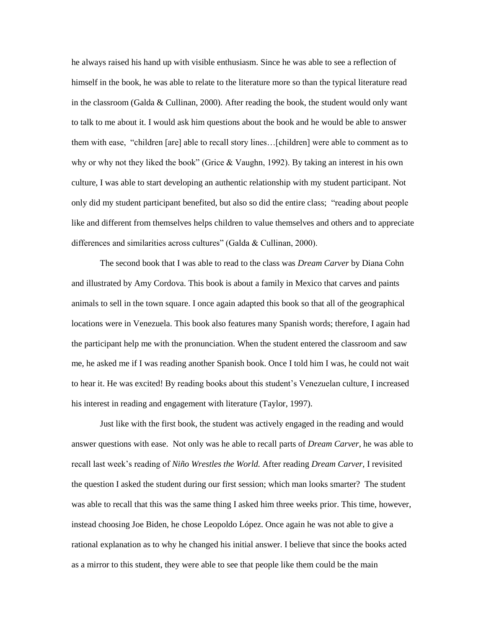he always raised his hand up with visible enthusiasm. Since he was able to see a reflection of himself in the book, he was able to relate to the literature more so than the typical literature read in the classroom (Galda & Cullinan, 2000). After reading the book, the student would only want to talk to me about it. I would ask him questions about the book and he would be able to answer them with ease, "children [are] able to recall story lines…[children] were able to comment as to why or why not they liked the book" (Grice & Vaughn, 1992). By taking an interest in his own culture, I was able to start developing an authentic relationship with my student participant. Not only did my student participant benefited, but also so did the entire class; "reading about people like and different from themselves helps children to value themselves and others and to appreciate differences and similarities across cultures" (Galda & Cullinan, 2000).

The second book that I was able to read to the class was *Dream Carver* by Diana Cohn and illustrated by Amy Cordova. This book is about a family in Mexico that carves and paints animals to sell in the town square. I once again adapted this book so that all of the geographical locations were in Venezuela. This book also features many Spanish words; therefore, I again had the participant help me with the pronunciation. When the student entered the classroom and saw me, he asked me if I was reading another Spanish book. Once I told him I was, he could not wait to hear it. He was excited! By reading books about this student's Venezuelan culture, I increased his interest in reading and engagement with literature (Taylor, 1997).

Just like with the first book, the student was actively engaged in the reading and would answer questions with ease. Not only was he able to recall parts of *Dream Carver*, he was able to recall last week's reading of *Niño Wrestles the World.* After reading *Dream Carver,* I revisited the question I asked the student during our first session; which man looks smarter? The student was able to recall that this was the same thing I asked him three weeks prior. This time, however, instead choosing Joe Biden, he chose Leopoldo López. Once again he was not able to give a rational explanation as to why he changed his initial answer. I believe that since the books acted as a mirror to this student, they were able to see that people like them could be the main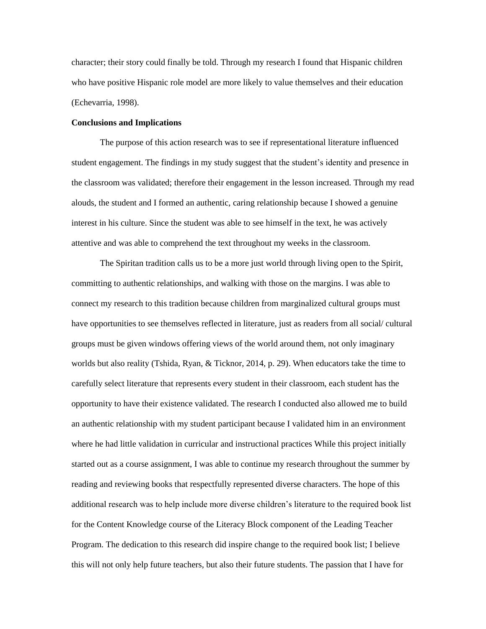character; their story could finally be told. Through my research I found that Hispanic children who have positive Hispanic role model are more likely to value themselves and their education (Echevarria, 1998).

#### **Conclusions and Implications**

The purpose of this action research was to see if representational literature influenced student engagement. The findings in my study suggest that the student's identity and presence in the classroom was validated; therefore their engagement in the lesson increased. Through my read alouds, the student and I formed an authentic, caring relationship because I showed a genuine interest in his culture. Since the student was able to see himself in the text, he was actively attentive and was able to comprehend the text throughout my weeks in the classroom.

The Spiritan tradition calls us to be a more just world through living open to the Spirit, committing to authentic relationships, and walking with those on the margins. I was able to connect my research to this tradition because children from marginalized cultural groups must have opportunities to see themselves reflected in literature, just as readers from all social/ cultural groups must be given windows offering views of the world around them, not only imaginary worlds but also reality (Tshida, Ryan, & Ticknor, 2014, p. 29). When educators take the time to carefully select literature that represents every student in their classroom, each student has the opportunity to have their existence validated. The research I conducted also allowed me to build an authentic relationship with my student participant because I validated him in an environment where he had little validation in curricular and instructional practices While this project initially started out as a course assignment, I was able to continue my research throughout the summer by reading and reviewing books that respectfully represented diverse characters. The hope of this additional research was to help include more diverse children's literature to the required book list for the Content Knowledge course of the Literacy Block component of the Leading Teacher Program. The dedication to this research did inspire change to the required book list; I believe this will not only help future teachers, but also their future students. The passion that I have for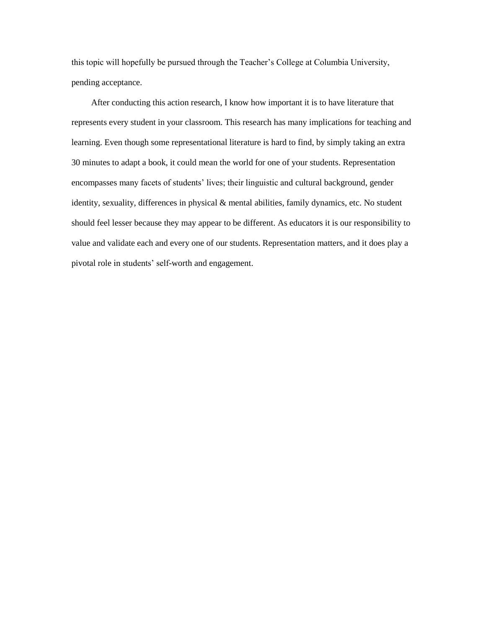this topic will hopefully be pursued through the Teacher's College at Columbia University, pending acceptance.

 After conducting this action research, I know how important it is to have literature that represents every student in your classroom. This research has many implications for teaching and learning. Even though some representational literature is hard to find, by simply taking an extra 30 minutes to adapt a book, it could mean the world for one of your students. Representation encompasses many facets of students' lives; their linguistic and cultural background, gender identity, sexuality, differences in physical & mental abilities, family dynamics, etc. No student should feel lesser because they may appear to be different. As educators it is our responsibility to value and validate each and every one of our students. Representation matters, and it does play a pivotal role in students' self-worth and engagement.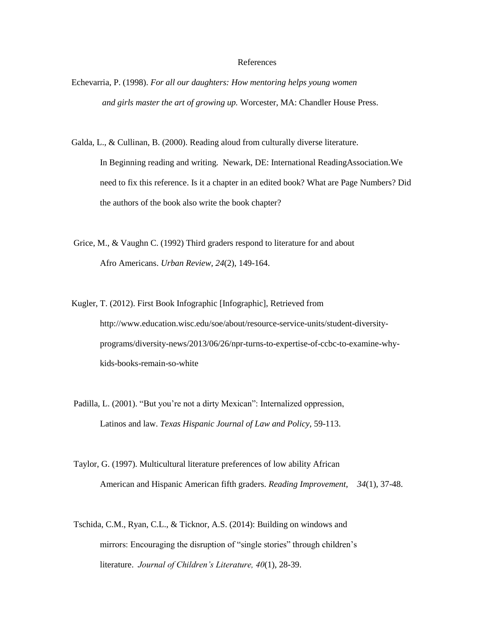#### References

Echevarria, P. (1998). *For all our daughters: How mentoring helps young women and girls master the art of growing up.* Worcester, MA: Chandler House Press.

Galda, L., & Cullinan, B. (2000). Reading aloud from culturally diverse literature. In Beginning reading and writing. Newark, DE: International ReadingAssociation.We need to fix this reference. Is it a chapter in an edited book? What are Page Numbers? Did the authors of the book also write the book chapter?

Grice, M., & Vaughn C. (1992) Third graders respond to literature for and about Afro Americans. *Urban Review, 24*(2), 149-164.

Kugler, T. (2012). First Book Infographic [Infographic], Retrieved from http://www.education.wisc.edu/soe/about/resource-service-units/student-diversityprograms/diversity-news/2013/06/26/npr-turns-to-expertise-of-ccbc-to-examine-whykids-books-remain-so-white

Padilla, L. (2001). "But you're not a dirty Mexican": Internalized oppression, Latinos and law. *Texas Hispanic Journal of Law and Policy,* 59-113.

Taylor, G. (1997). Multicultural literature preferences of low ability African American and Hispanic American fifth graders. *Reading Improvement, 34*(1), 37-48.

Tschida, C.M., Ryan, C.L., & Ticknor, A.S. (2014): Building on windows and mirrors: Encouraging the disruption of "single stories" through children's literature. *Journal of Children's Literature, 40*(1), 28-39.